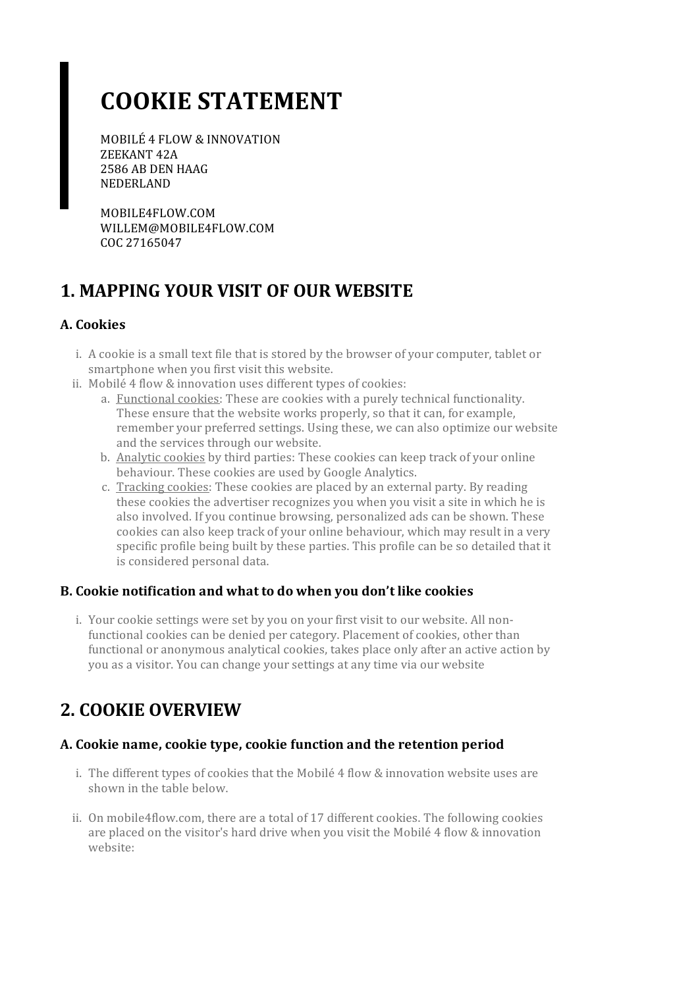# **COOKIE STATEMENT**

MOBILÉ 4 FLOW & INNOVATION ZEEKANT 42A 2586 AB DEN HAAG NEDERLAND

MOBILE4FLOW.COM WILLEM@MOBILE4FLOW.COM COC 27165047

### **1. MAPPING YOUR VISIT OF OUR WEBSITE**

#### **A. Cookies**

- i. A cookie is a small text file that is stored by the browser of your computer, tablet or smartphone when you first visit this website.
- ii. Mobilé 4 flow & innovation uses different types of cookies:
	- a. Functional cookies: These are cookies with a purely technical functionality. These ensure that the website works properly, so that it can, for example, remember your preferred settings. Using these, we can also optimize our website and the services through our website.
	- b. Analytic cookies by third parties: These cookies can keep track of your online behaviour. These cookies are used by Google Analytics.
	- c. Tracking cookies: These cookies are placed by an external party. By reading these cookies the advertiser recognizes you when you visit a site in which he is also involved. If you continue browsing, personalized ads can be shown. These cookies can also keep track of your online behaviour, which may result in a very specific profile being built by these parties. This profile can be so detailed that it is considered personal data.

#### **B. Cookie notification and what to do when you don't like cookies**

i. Your cookie settings were set by you on your first visit to our website. All nonfunctional cookies can be denied per category. Placement of cookies, other than functional or anonymous analytical cookies, takes place only after an active action by you as a visitor. You can change yoursettings at any time via our website

### **2. COOKIE OVERVIEW**

#### **A. Cookie name,cookie type,cookie function and the retention period**

- i. The different types of cookies that the Mobilé  $4$  flow  $\&$  innovation website uses are shown in the table below.
- ii. On mobile4flow.com, there are a total of 17 different cookies. The following cookies are placed on the visitor's hard drive when you visit the Mobilé 4 flow & innovation website: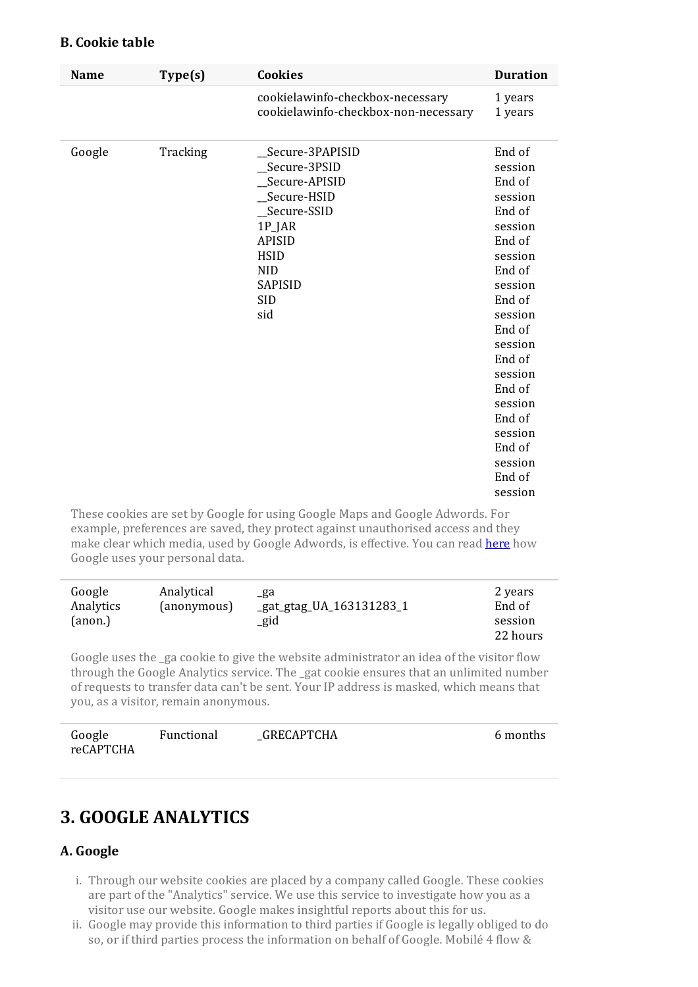#### **B. Cookie table**

| <b>Name</b> | Type(s)  | <b>Cookies</b>                                                                                                                                                             | <b>Duration</b>                                                                                                                                                                                                                                          |
|-------------|----------|----------------------------------------------------------------------------------------------------------------------------------------------------------------------------|----------------------------------------------------------------------------------------------------------------------------------------------------------------------------------------------------------------------------------------------------------|
|             |          | cookielawinfo-checkbox-necessary<br>cookielawinfo-checkbox-non-necessary                                                                                                   | 1 years<br>1 years                                                                                                                                                                                                                                       |
| Google      | Tracking | _Secure-3PAPISID<br>_Secure-3PSID<br>Secure-APISID<br>_Secure-HSID<br>_Secure-SSID<br>1P_JAR<br><b>APISID</b><br><b>HSID</b><br><b>NID</b><br>SAPISID<br><b>SID</b><br>sid | End of<br>session<br>End of<br>session<br>End of<br>session<br>End of<br>session<br>End of<br>session<br>End of<br>session<br>End of<br>session<br>End of<br>session<br>End of<br>session<br>End of<br>session<br>End of<br>session<br>End of<br>session |

These cookies are set by Google for using Google Maps and Google Adwords. For example, preferences are saved, they protect against unauthorised access and they make clear which media, used by Google Adwords, is effective. You can read [here](https://policies.google.com/technologies/partner-sites?hl=en) how Google uses your personal data.

| Google    | Analytical  | _ga                      | 2 years  |
|-----------|-------------|--------------------------|----------|
| Analytics | (anonymous) | _gat_gtag_UA_163131283_1 | End of   |
| (anon.)   |             | _gid                     | session  |
|           |             |                          | 22 hours |

Google uses the ga cookie to give the website administrator an idea of the visitor flow through the Google Analytics service. The \_gat cookie ensures that an unlimited number ofrequests to transfer data can't be sent. YourIP address is masked, which means that you, as a visitor, remain anonymous.

| Google    | Functional | GRECAPTCHA | 6 months |
|-----------|------------|------------|----------|
| reCAPTCHA |            |            |          |

# **3. GOOGLE ANALYTICS**

#### **A. Google**

- i. Through our website cookies are placed by a company called Google. These cookies are part of the "Analytics" service. We use this service to investigate how you as a visitor use our website. Google makes insightful reports about this for us.
- ii. Google may provide this information to third parties if Google is legally obliged to do so, or if third parties process the information on behalf of Google. Mobilé 4 flow &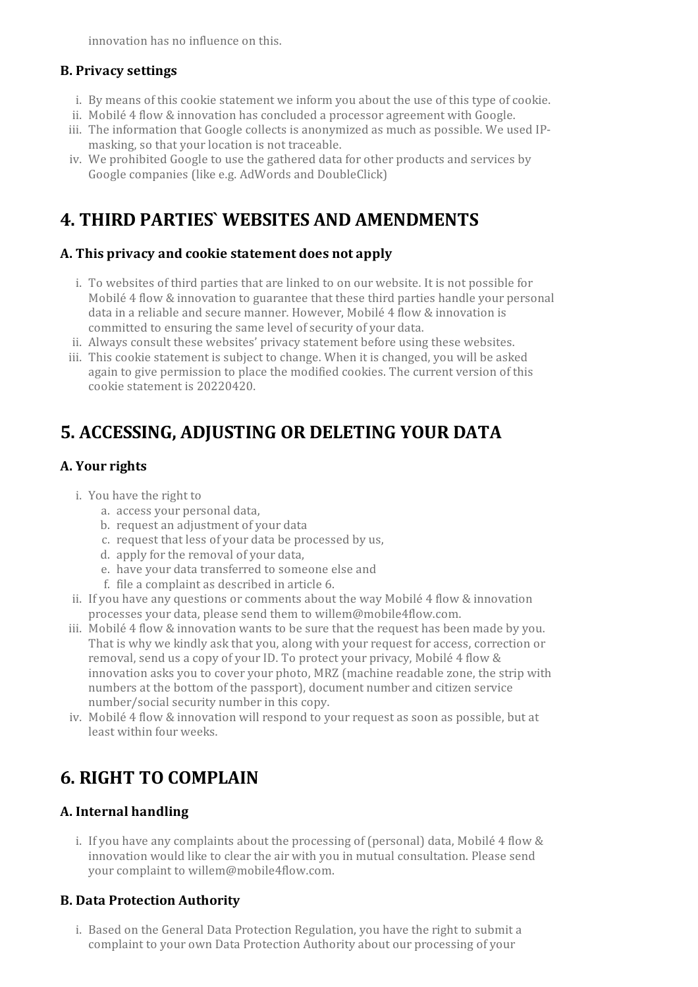innovation has no influence on this.

#### **B. Privacy settings**

- i. By means of this cookie statement we inform you about the use of this type ofcookie.
- ii. Mobilé 4 flow & innovation has concluded a processor agreement with Google.
- iii. The information that Google collects is anonymized as much as possible. We used IPmasking, so that your location is not traceable.
- iv. We prohibited Google to use the gathered data for other products and services by Google companies (like e.g. AdWords and DoubleClick)

### **4. THIRD PARTIES` WEBSITES AND AMENDMENTS**

#### **A. This privacy and cookie statement does not apply**

- i. To websites of third parties that are linked to on our website. It is not possible for Mobilé 4 flow & innovation to guarantee that these third parties handle your personal data in a reliable and secure manner. However, Mobilé 4 flow & innovation is committed to ensuring the same level of security of your data.
- ii. Always consult these websites' privacy statement before using these websites.
- iii. This cookie statement is subject to change. When it is changed, you will be asked again to give permission to place the modified cookies. The current version of this cookie statement is 20220420.

# **5. ACCESSING, ADJUSTING OR DELETING YOUR DATA**

#### A. Your rights

- i. You have the right to
	- a. access your personal data,
	- b. request an adjustment of your data
	- c. request that less of your data be processed by us,
	- d. apply for the removal of your data,
	- e. have your data transferred to someone else and
	- f. file a complaint as described in article 6.
- ii. If you have any questions orcomments about the way Mobilé 4 flow & innovation processes your data, please send them to willem@mobile4flow.com.
- iii. Mobilé 4 flow & innovation wants to be sure that the request has been made by you. That is why we kindly ask that you, along with your request for access, correction or removal, send us a copy of your ID. To protect your privacy, Mobilé 4 flow & innovation asks you to cover your photo, MRZ (machine readable zone, the strip with numbers at the bottom of the passport), document number and citizen service number/social security number in this copy.
- iv. Mobilé 4 flow & innovation will respond to your request as soon as possible, but at least within four weeks.

# **6. RIGHT TO COMPLAIN**

#### **A. Internal handling**

i. If you have any complaints about the processing of (personal) data, Mobilé 4 flow & innovation would like to clear the air with you in mutual consultation. Please send your complaint to willem@mobile4flow.com.

#### **B. Data Protection Authority**

i. Based on the General Data Protection Regulation, you have the right to submit a complaint to your own Data Protection Authority about our processing of your